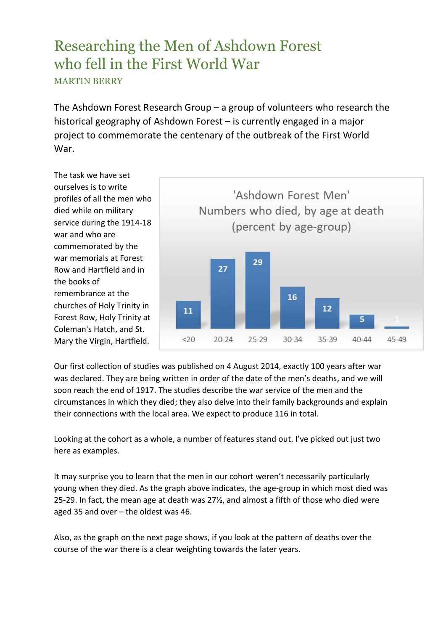## Researching the Men of Ashdown Forest who fell in the First World War MARTIN BERRY

The Ashdown Forest Research Group – a group of volunteers who research the historical geography of Ashdown Forest – is currently engaged in a major project to commemorate the centenary of the outbreak of the First World War.

The task we have set ourselves is to write profiles of all the men who died while on military service during the 1914-18 war and who are commemorated by the war memorials at Forest Row and Hartfield and in the books of remembrance at the churches of Holy Trinity in Forest Row, Holy Trinity at Coleman's Hatch, and St. Mary the Virgin, Hartfield.



Our first collection of studies was published on 4 August 2014, exactly 100 years after war was declared. They are being written in order of the date of the men's deaths, and we will soon reach the end of 1917. The studies describe the war service of the men and the circumstances in which they died; they also delve into their family backgrounds and explain their connections with the local area. We expect to produce 116 in total.

Looking at the cohort as a whole, a number of features stand out. I've picked out just two here as examples.

It may surprise you to learn that the men in our cohort weren't necessarily particularly young when they died. As the graph above indicates, the age-group in which most died was 25-29. In fact, the mean age at death was 27½, and almost a fifth of those who died were aged 35 and over – the oldest was 46.

Also, as the graph on the next page shows, if you look at the pattern of deaths over the course of the war there is a clear weighting towards the later years.